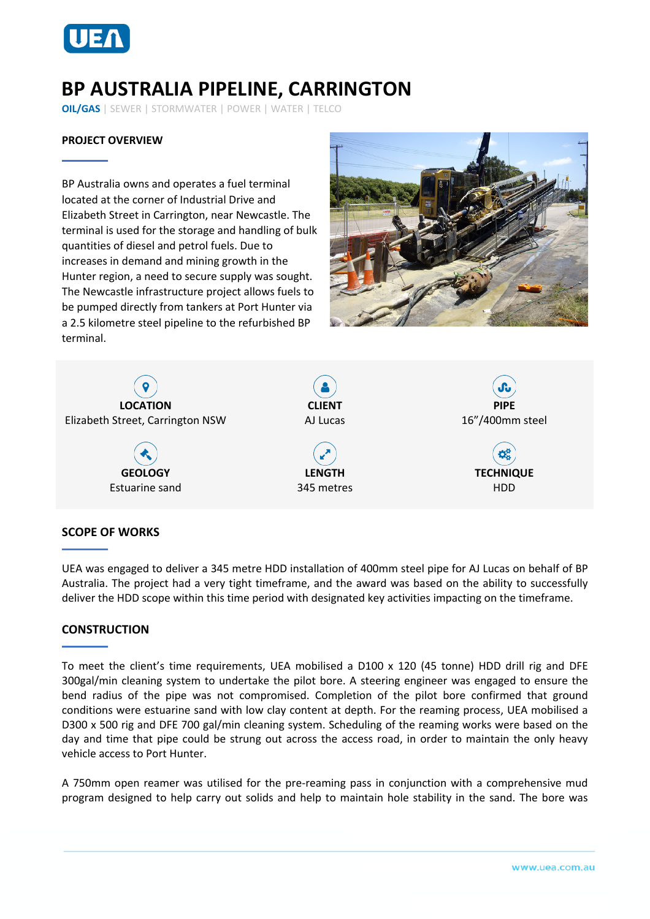

# **BP AUSTRALIA PIPELINE, CARRINGTON**

**OIL/GAS** | SEWER | STORMWATER | POWER | WATER | TELCO

## **PROJECT OVERVIEW**

BP Australia owns and operates a fuel terminal located at the corner of Industrial Drive and Elizabeth Street in Carrington, near Newcastle. The terminal is used for the storage and handling of bulk quantities of diesel and petrol fuels. Due to increases in demand and mining growth in the Hunter region, a need to secure supply was sought. The Newcastle infrastructure project allows fuels to be pumped directly from tankers at Port Hunter via a 2.5 kilometre steel pipeline to the refurbished BP terminal.





#### **SCOPE OF WORKS**

UEA was engaged to deliver a 345 metre HDD installation of 400mm steel pipe for AJ Lucas on behalf of BP Australia. The project had a very tight timeframe, and the award was based on the ability to successfully deliver the HDD scope within this time period with designated key activities impacting on the timeframe.

## **CONSTRUCTION**

To meet the client's time requirements, UEA mobilised a D100 x 120 (45 tonne) HDD drill rig and DFE 300gal/min cleaning system to undertake the pilot bore. A steering engineer was engaged to ensure the bend radius of the pipe was not compromised. Completion of the pilot bore confirmed that ground conditions were estuarine sand with low clay content at depth. For the reaming process, UEA mobilised a D300 x 500 rig and DFE 700 gal/min cleaning system. Scheduling of the reaming works were based on the day and time that pipe could be strung out across the access road, in order to maintain the only heavy vehicle access to Port Hunter.

A 750mm open reamer was utilised for the pre-reaming pass in conjunction with a comprehensive mud program designed to help carry out solids and help to maintain hole stability in the sand. The bore was